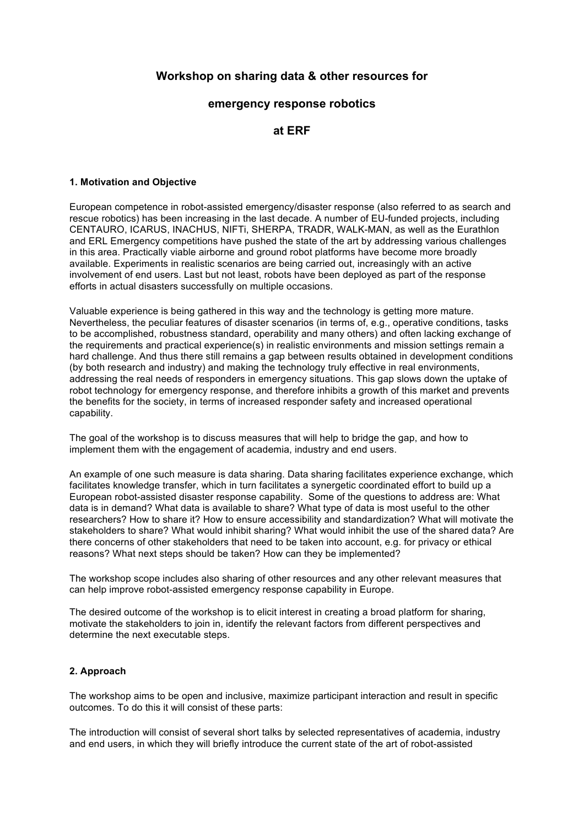# **Workshop on sharing data & other resources for**

## **emergency response robotics**

## **at ERF**

#### **1. Motivation and Objective**

European competence in robot-assisted emergency/disaster response (also referred to as search and rescue robotics) has been increasing in the last decade. A number of EU-funded projects, including CENTAURO, ICARUS, INACHUS, NIFTi, SHERPA, TRADR, WALK-MAN, as well as the Eurathlon and ERL Emergency competitions have pushed the state of the art by addressing various challenges in this area. Practically viable airborne and ground robot platforms have become more broadly available. Experiments in realistic scenarios are being carried out, increasingly with an active involvement of end users. Last but not least, robots have been deployed as part of the response efforts in actual disasters successfully on multiple occasions.

Valuable experience is being gathered in this way and the technology is getting more mature. Nevertheless, the peculiar features of disaster scenarios (in terms of, e.g., operative conditions, tasks to be accomplished, robustness standard, operability and many others) and often lacking exchange of the requirements and practical experience(s) in realistic environments and mission settings remain a hard challenge. And thus there still remains a gap between results obtained in development conditions (by both research and industry) and making the technology truly effective in real environments, addressing the real needs of responders in emergency situations. This gap slows down the uptake of robot technology for emergency response, and therefore inhibits a growth of this market and prevents the benefits for the society, in terms of increased responder safety and increased operational capability.

The goal of the workshop is to discuss measures that will help to bridge the gap, and how to implement them with the engagement of academia, industry and end users.

An example of one such measure is data sharing. Data sharing facilitates experience exchange, which facilitates knowledge transfer, which in turn facilitates a synergetic coordinated effort to build up a European robot-assisted disaster response capability. Some of the questions to address are: What data is in demand? What data is available to share? What type of data is most useful to the other researchers? How to share it? How to ensure accessibility and standardization? What will motivate the stakeholders to share? What would inhibit sharing? What would inhibit the use of the shared data? Are there concerns of other stakeholders that need to be taken into account, e.g. for privacy or ethical reasons? What next steps should be taken? How can they be implemented?

The workshop scope includes also sharing of other resources and any other relevant measures that can help improve robot-assisted emergency response capability in Europe.

The desired outcome of the workshop is to elicit interest in creating a broad platform for sharing, motivate the stakeholders to join in, identify the relevant factors from different perspectives and determine the next executable steps.

## **2. Approach**

The workshop aims to be open and inclusive, maximize participant interaction and result in specific outcomes. To do this it will consist of these parts:

The introduction will consist of several short talks by selected representatives of academia, industry and end users, in which they will briefly introduce the current state of the art of robot-assisted